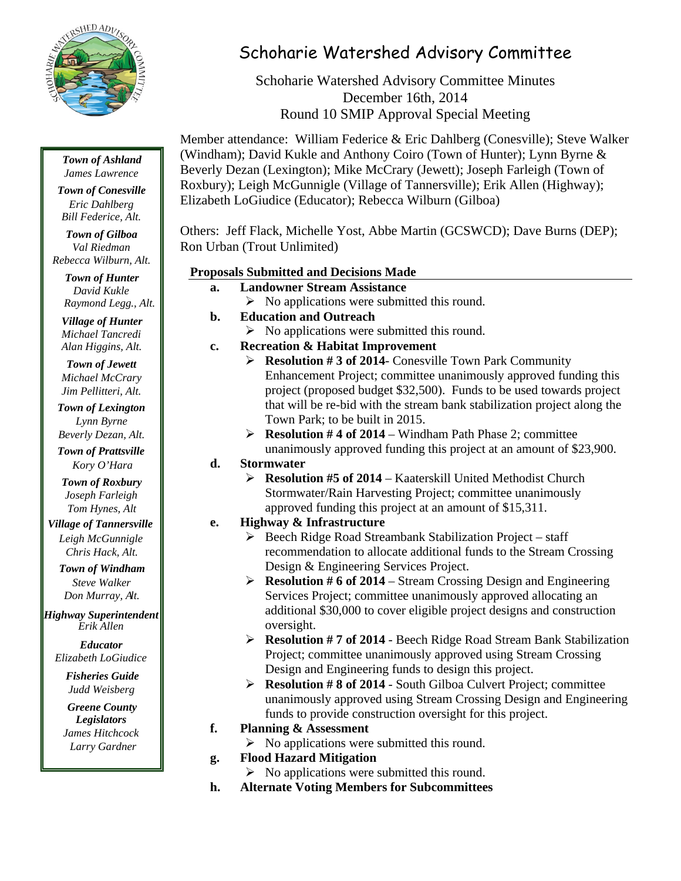

## *Town of Ashland James Lawrence*

*Town of Conesville Eric Dahlberg Bill Federice, Alt.*

*Town of Gilboa Val Riedman Rebecca Wilburn, Alt.*

*Town of Hunter David Kukle Raymond Legg., Alt.*

*Village of Hunter Michael Tancredi Alan Higgins, Alt.*

*Town of Jewett Michael McCrary Jim Pellitteri, Alt.*

*Town of Lexington Lynn Byrne Beverly Dezan, Alt.*

*Town of Prattsville Kory O'Hara*

*Town of Roxbury Joseph Farleigh Tom Hynes, Alt*

*Village of Tannersville Leigh McGunnigle Chris Hack, Alt.*

*Town of Windham Steve Walker Don Murray, Alt.*

*Highway Superintendent Erik Allen*

*Educator Elizabeth LoGiudice*

> *Fisheries Guide Judd Weisberg*

*Greene County Legislators James Hitchcock Larry Gardner*

## Schoharie Watershed Advisory Committee

Schoharie Watershed Advisory Committee Minutes December 16th, 2014 Round 10 SMIP Approval Special Meeting

Member attendance: William Federice & Eric Dahlberg (Conesville); Steve Walker (Windham); David Kukle and Anthony Coiro (Town of Hunter); Lynn Byrne & Beverly Dezan (Lexington); Mike McCrary (Jewett); Joseph Farleigh (Town of Roxbury); Leigh McGunnigle (Village of Tannersville); Erik Allen (Highway); Elizabeth LoGiudice (Educator); Rebecca Wilburn (Gilboa)

Others: Jeff Flack, Michelle Yost, Abbe Martin (GCSWCD); Dave Burns (DEP); Ron Urban (Trout Unlimited)

## **Proposals Submitted and Decisions Made**

- **a. Landowner Stream Assistance**   $\triangleright$  No applications were submitted this round. **b. Education and Outreach**   $\triangleright$  No applications were submitted this round. **c. Recreation & Habitat Improvement Resolution # 3 of 2014**- Conesville Town Park Community Enhancement Project; committee unanimously approved funding this project (proposed budget \$32,500). Funds to be used towards project that will be re-bid with the stream bank stabilization project along the Town Park; to be built in 2015. **Resolution # 4 of 2014** – Windham Path Phase 2; committee unanimously approved funding this project at an amount of \$23,900. **d. Stormwater Resolution #5 of 2014** – Kaaterskill United Methodist Church Stormwater/Rain Harvesting Project; committee unanimously approved funding this project at an amount of \$15,311. **e. Highway & Infrastructure** 
	- $\triangleright$  Beech Ridge Road Streambank Stabilization Project staff recommendation to allocate additional funds to the Stream Crossing Design & Engineering Services Project.
	- **Resolution # 6 of 2014**  Stream Crossing Design and Engineering Services Project; committee unanimously approved allocating an additional \$30,000 to cover eligible project designs and construction oversight.
	- **Resolution # 7 of 2014**  Beech Ridge Road Stream Bank Stabilization Project; committee unanimously approved using Stream Crossing Design and Engineering funds to design this project.
	- **Resolution # 8 of 2014**  South Gilboa Culvert Project; committee unanimously approved using Stream Crossing Design and Engineering funds to provide construction oversight for this project.
- **f. Planning & Assessment** 
	- $\triangleright$  No applications were submitted this round.
- **g. Flood Hazard Mitigation** 
	- $\triangleright$  No applications were submitted this round.
- **h. Alternate Voting Members for Subcommittees**